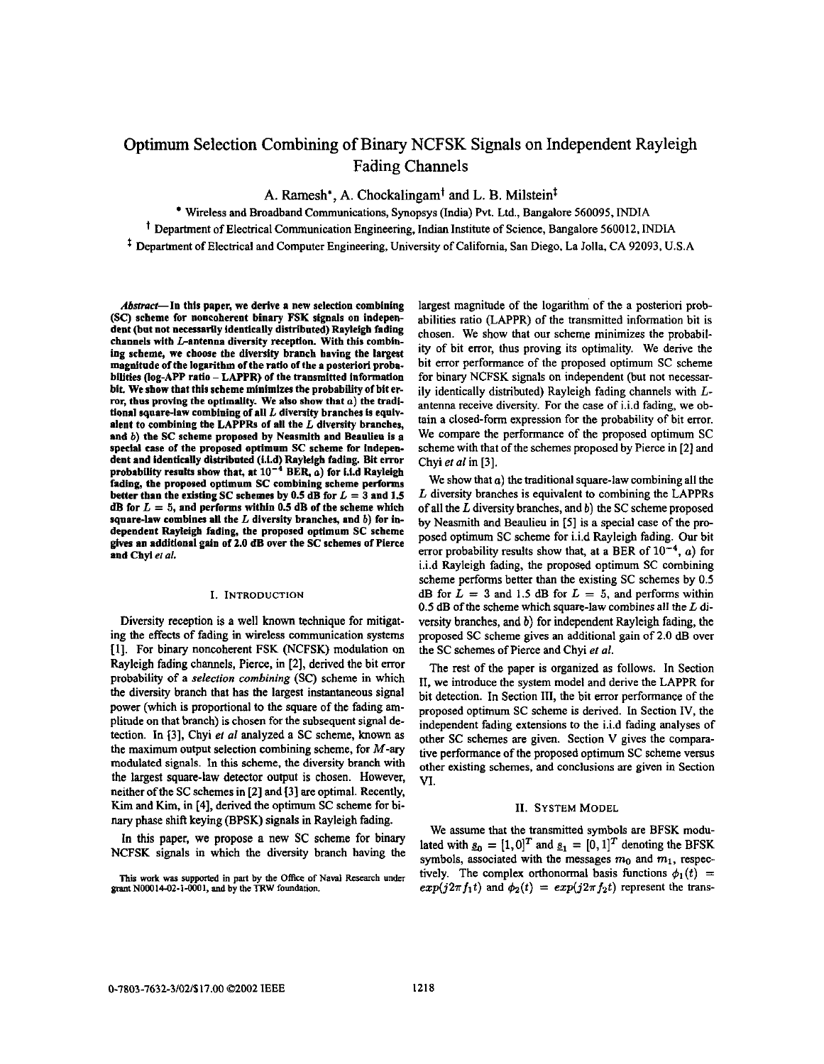# Optimum Selection Combining of Binary NCFSK Signals on Independent Rayleigh Fading Channels

A. Ramesh', A. Chockalingamt **and** L. **B.** Milsteint

Wireless and Broadband Communications, Synopsys (India) **Pvt.** Ltd., Bangalore **560095,** INDIA ' Department of Electrical Communication Engineering, Indian Institute of Science, Bangalore **560012,** INDIA

\* Department of Electrical and Computer Engineering, University of Califomia, San Diego, La Jolla, CA **92093,** U.S.A

Abstract-In this paper, we derive a new selection combining **(SC)** scheme for noncoherent binary **FSK** signals on independent (but not necessarily identically distributed) Rayleigh fading channels with L-antenna diversity reception. With this combining scheme, we choose the diversity branch having the **largest**  magnitude of the logarithm of the ratio of the **a** posteriori prohahillties (log-APP ratio - LAPPR) of the transmitted information ror, thus proving the optimality. We also show that *a*) the traditional square-law combining of **all** L diversity branches is equivalent to combining the LAPPRs of all the L diversity branches, and b) the *SC* scheme proposed by Neasmith and Beaulieu is **a**  special case of the proposed optimum SC scheme for independent and identically distributed (i.i.d) Rayleigh fading. Bit error probability results show that, at  $10^{-4}$  BER,  $a$ ) for i.i.d Rayleigh fading, the proposed optimum **SC** combining scheme performs better than the existing SC schemes by  $0.5$  dB for  $L = 3$  and  $1.5$ dB for L = **5,** and performs within **0.5** dB of the scheme which square-law combines all the  $L$  diversity branches, and  $b$ ) for independent Rayleigh fading, the proposed optimum **SC** scheme gives an addidonal gain of **2.0** dB over the *SC* schemes of Pierce and **Chyi er** *al.* 

## I. INTRODUCTION

Diversity reception is a well known technique for mitigating the effects of fading in wireless communication systems **[I].** For binary noncoherent FSK (NCFSK) modulation on Rayleigh fading channels, Pierce, in **[2],** derived the bit error probability of a *selection combining* (SC) scheme in which the diversity branch that has the largest instantaneous signal power (which is proportional to the square of the fading **am**plitude on that branch) is chosen for the subsequent signal detection. In **[3],** Chyi el *a1* analyzed a SC scheme, known **as**  the maximum output selection combining scheme, for  $M$ -ary modulated signals. In this scheme, the diversity branch with the largest square-law detector output is chosen. However, neither of the SC schemes in **[2]** and **[3]** *are* optimal. Recently, Kim and Kim, in **[4],** derived the optimum SC scheme for bi*nary* phase shiil keying (BPSK) signals in Rayleigh fading.

**In** this paper, we propose a new SC scheme for binary NCFSK signals in which the diversity branch having the

**Thip wok was suppoacd in part by the** Office **of Naval Research undsr**  grant N00014-02-1-0001, and by the TRW foundation.

largest magnitude of the logarithm' of the a posteriori probabilities ratio (LAPPR) of the transmitted information bit is chosen. We show that our scheme minimizes the probability of bit error, thus proving its optimality. We derive the bit error performance of the proposed optimum SC scheme for binary NCFSK signals on independent (but not necessarily identically distributed) Rayleigh fading channels with *L*antenna receive diversity. For the case of i.i.d fading, we obtain a closed-form expression for the probability of bit error. We compare the performance of the proposed optimum SC scheme with that of the schemes proposed by Pierce in **[2]** and Chyi **el** *al* in **[3].** 

We show that  $a$ ) the traditional square-law combining all the *L* diversity branches is equivalent to combining the LAPPRs of all the *L* diversity branches, and b) the SC scheme proposed by Neasmith and Beaulieu in **IS]** is a special case of the proposed optimum SC scheme for i.i.d Rayleigh fading. Our bit error probability results show that, at a BER of  $10^{-4}$ , a) for i.i.d Rayleigh fading, the proposed optimum SC combining scheme performs better than the existing SC schemes by **0.5**  dB for  $L = 3$  and 1.5 dB for  $L = 5$ , and performs within 0.5 dB of the scheme which square-law combines all the  $L$  diversity branches, and b) for independent Rayleigh fading, the proposed SC scheme gives an additional gain of **2.0 dB** over the SC schemes of Pierce and Chyi et *al.* 

The rest of the paper is organized as follows. In Section **11.** we introduce the system model and derive the LAPPR for bit detection. In Section **111,** the bit error performance of the proposed optimum SC scheme is derived. In Section **IV,** the independent fading extensions to the i.i.d fading analyses of other SC schemes are given. Section V gives the comparative performance of the proposed optimum SC scheme versus other existing schemes, and conclusions are given in Section VI.

#### **11. SYSTEM MODEL**

We assume that the transmitted symbols are BFSK modulated with  $g_0 = [1,0]^T$  and  $g_1 = [0,1]^T$  denoting the BFSK symbols, associated with the messages  $m_0$  and  $m_1$ , respectively. The complex orthonormal basis functions  $\phi_1(t)$  =  $exp(j2\pi f_1 t)$  and  $\phi_2(t) = exp(j2\pi f_2 t)$  represent the trans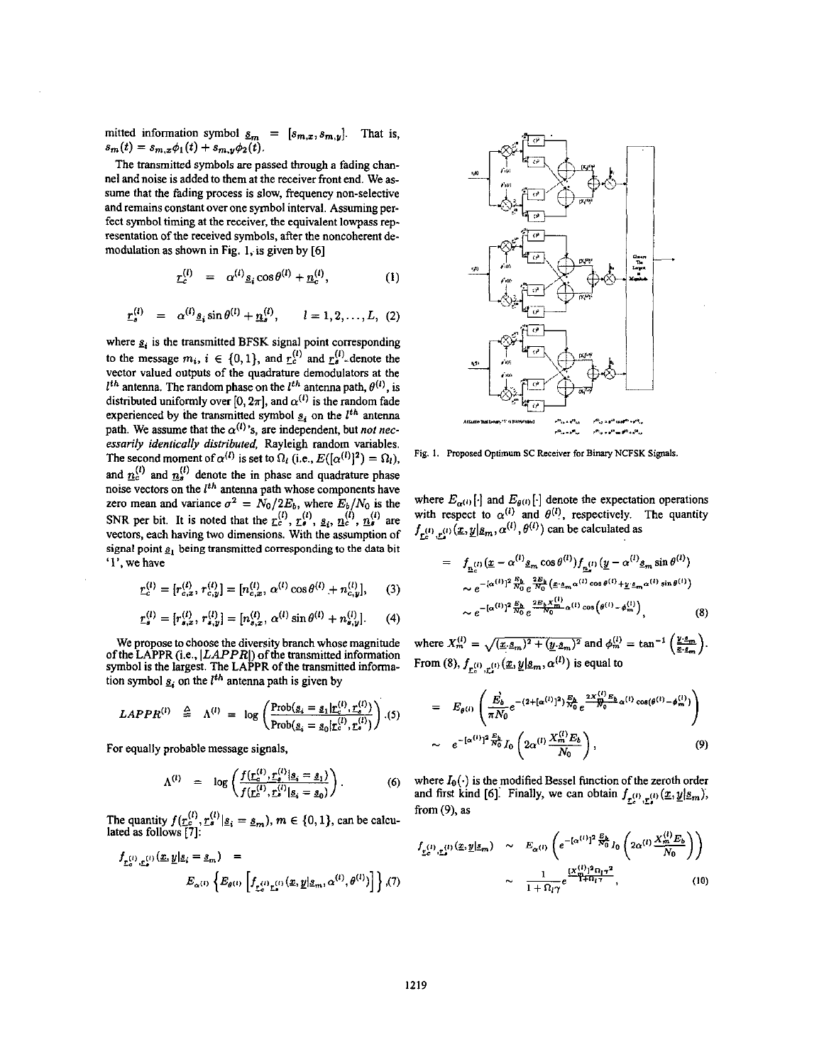mitted information symbol  $\underline{s}_m = [s_{m,x}, s_{m,y}]$ . That is,  $s_m(t) = s_{m,x}\phi_1(t) + s_{m,y}\phi_2(t).$ 

The transmitted symbols *are* passed **through** a fading channel and noise is added to them at the receiver front end. We assume that the fading process is slow, frequency non-selective and remains constant over one symbol interval. Assuming perfect symbol timing at the receiver, the equivalent lowpass representation of the received symbols, after the noncoberent demodulation as shown in Fig. 1, is given by [6]

$$
r_c^{(l)} = \alpha^{(l)} \underline{s}_i \cos \theta^{(l)} + \underline{n}_c^{(l)}, \qquad (1)
$$

$$
\underline{r}_s^{(l)} = \alpha^{(l)} \underline{s}_i \sin \theta^{(l)} + \underline{n}_s^{(l)}, \qquad l = 1, 2, ..., L, (2)
$$

where  $s_i$  is the transmitted BFSK signal point corresponding to the message  $m_i$ ,  $i \in \{0, 1\}$ , and  $r_c^{(l)}$  and  $r_s^{(l)}$ -denote the vector valued outputs of the quadrature demodulators at the  $\frac{u_0}{u_0}$  $I^{th}$  antenna. The random phase on the  $I^{th}$  antenna path,  $\theta^{(l)}$ , is distributed uniformly over  $[0, 2\pi]$ , and  $\alpha^{(l)}$  is the random fade experienced by the transmitted symbol  $g_i$  on the  $l^{th}$  antenna path. We assume that the  $\alpha^{(l)}$ 's, are independent, but *not necessarily identically distributed,* Rayleigh random variables. The second moment of  $\alpha^{(l)}$  is set to  $\Omega_l$  (i.e.,  $E([\alpha^{(l)}]^2) = \Omega_l$ ), and  $n_c^{(l)}$  and  $n_s^{(l)}$  denote the in phase and quadrature phase noise vectors on the *I<sup>th</sup>* antenna path whose components have zero mean and variance  $\sigma^2 = N_0/2E_b$ , where  $E_b/N_0$  is the vectors, each having two dimensions. With the assumption of signal point *a,* being transmitted corresponding **to** the **data** bit **'1'.** we have **SNR** per bit. It is noted that the  $r_s^{(l)}$ ,  $r_s^{(l)}$ ,  $s_i$ ,  $n_s^{(l)}$ ,  $n_s^{(l)}$  are

$$
\underline{r}_c^{(l)} = [r_{c,x}^{(l)}, r_{c,y}^{(l)}] = [n_{c,x}^{(l)}, \alpha^{(l)} \cos \theta^{(l)} + n_{c,y}^{(l)}], \quad (3)
$$

$$
\underline{r}_s^{(l)} = [r_{s,x}^{(l)}, r_{s,y}^{(l)}] = [n_{s,x}^{(l)}, \alpha^{(l)} \sin \theta^{(l)} + n_{s,y}^{(l)}]. \tag{4}
$$

We propose to choose the diversity branch whose magnitude of the LAPPR (i.e., *ILAPPRI)* of the transmitted information symbol is the largest. The LAPPR of the transmitted information symbol  $s_i$  on the  $l^{th}$  antenna path is given by

$$
LAPPR^{(i)} \triangleq \Lambda^{(i)} = \log \left( \frac{\text{Prob}(g_i = g_1 | \mathbf{r}_c^{(i)}, \mathbf{r}_s^{(i)})}{\text{Prob}(g_i = g_0 | \mathbf{r}_c^{(i)}, \mathbf{r}_s^{(i)})} \right). (5)
$$

For equally probable message signals,

$$
\Lambda^{(l)} = \log \left( \frac{f(\underline{r}_c^{(l)}, \underline{r}_s^{(l)} | \underline{s}_i = \underline{s}_1)}{f(\underline{r}_c^{(l)}, \underline{r}_s^{(l)} | \underline{s}_i = \underline{s}_0)} \right).
$$
 (6)

The quantity  $f(\underline{r}_e^{(l)}, \underline{r}_s^{(l)} | \underline{s}_i = \underline{s}_m), m \in \{0, 1\}$ , can be calculated as follows **[7]:** 

$$
f_{\underline{r}_c^{(1)}, \underline{r}_s^{(1)}}(\underline{x}, \underline{y} | \underline{s}_i = \underline{s}_m) =
$$
  

$$
E_{\alpha^{(1)}} \left\{ E_{\theta^{(1)}} \left[ f_{\underline{r}_c^{(1)} \underline{r}_s^{(1)}}(\underline{x}, \underline{y} | \underline{s}_m, \alpha^{(1)}, \theta^{(1)}) \right] \right\}, (7)
$$



**Fig.** 1. **Proposed Optimum SC Receiver for Binary NCFSK Sigpls.** 

where  $E_{\alpha^{(i)}}[\cdot]$  and  $E_{\theta^{(i)}}[\cdot]$  denote the expectation operations<br>with respect to  $\alpha^{(i)}$  and  $\theta^{(i)}$ , respectively. The quantity<br> $f_{\underline{r}_c^{(i)},\underline{r}_s^{(i)}}(\underline{x},\underline{y}|\underline{s}_m,\alpha^{(i)},\theta^{(i)})$  can be calculated as

$$
= f_{\underline{n}_{c}^{(I)}}(\underline{x} - \alpha^{(I)} \underline{s}_{m} \cos \theta^{(I)}) f_{\underline{n}_{c}^{(I)}}(\underline{y} - \alpha^{(I)} \underline{s}_{m} \sin \theta^{(I)})
$$
  
\n
$$
\sim e^{-[\alpha^{(I)}]^{2} \frac{E_{b}}{N_{0}} e^{\frac{2E_{b}}{N_{0}} (\underline{x} \cdot \underline{s}_{m} \alpha^{(I)} \cos \theta^{(I)} + \underline{y} \cdot \underline{s}_{m} \alpha^{(I)} \sin \theta^{(I)})}
$$
  
\n
$$
\sim e^{-[\alpha^{(I)}]^{2} \frac{E_{b}}{N_{0}} e^{\frac{2E_{b} X_{m}^{(I)}}{N_{0}} \alpha^{(I)} \cos (\theta^{(I)} - \phi_{m}^{(I)})},
$$
\n(8)

where  $X_m^{(i)} = \sqrt{(\underline{x} \cdot \underline{s}_m)^2 + (\underline{y} \cdot \underline{s}_m)^2}$  and  $\phi_m^{(i)} = \tan^{-1} \left( \frac{\underline{y} \cdot \underline{s}_m}{\underline{z} \cdot \underline{s}_m} \right)$ . From (8),  $f_{r_n^{(l)}\cdot r_n^{(l)}}(x, y|s_m, \alpha^{(l)})$  is equal to

$$
= E_{\theta^{(1)}} \left( \frac{\vec{E}_b}{\pi N_0} e^{-(2 + [\alpha^{(1)}]^2) \frac{E_b}{N_0}} e^{\frac{2X_{\theta}^{(1)} E_b}{N_0} \alpha^{(1)} \cos(\theta^{(1)} - \phi_m^{(1)})} \right) \n\sim e^{-[\alpha^{(1)}]^2 \frac{E_b}{N_0} I_0 \left( 2\alpha^{(1)} \frac{X_m^{(1)} E_b}{N_0} \right),
$$
\n(9)

where  $I_0(\cdot)$  is the modified Bessel function of the zeroth order where  $I_0(\cdot)$  is the modified Bessel function of the zeroth of and first kind [6]. Finally, we can obtain  $f_{\underline{L}_s^{(1)},\underline{L}_s^{(1)}}(\underline{x},\underline{y})$ **from** *(9),* **as** 

$$
f_{\underline{v}_c^{(1)}, \underline{v}_s^{(1)}}(\underline{x}, \underline{y} | \underline{s}_m) \sim E_{\alpha^{(1)}} \left( e^{-[\alpha^{(1)}]^2 \frac{E_b}{N_0}} I_0 \left( 2\alpha^{(1)} \frac{X_m^{(1)} E_b}{N_0} \right) \right)
$$

$$
\sim \frac{1}{1 + \Omega_{17}} e^{\frac{(X_m^{(1)})^2 \Omega_{17}^2}{1 + \Omega_{17}}}, \tag{10}
$$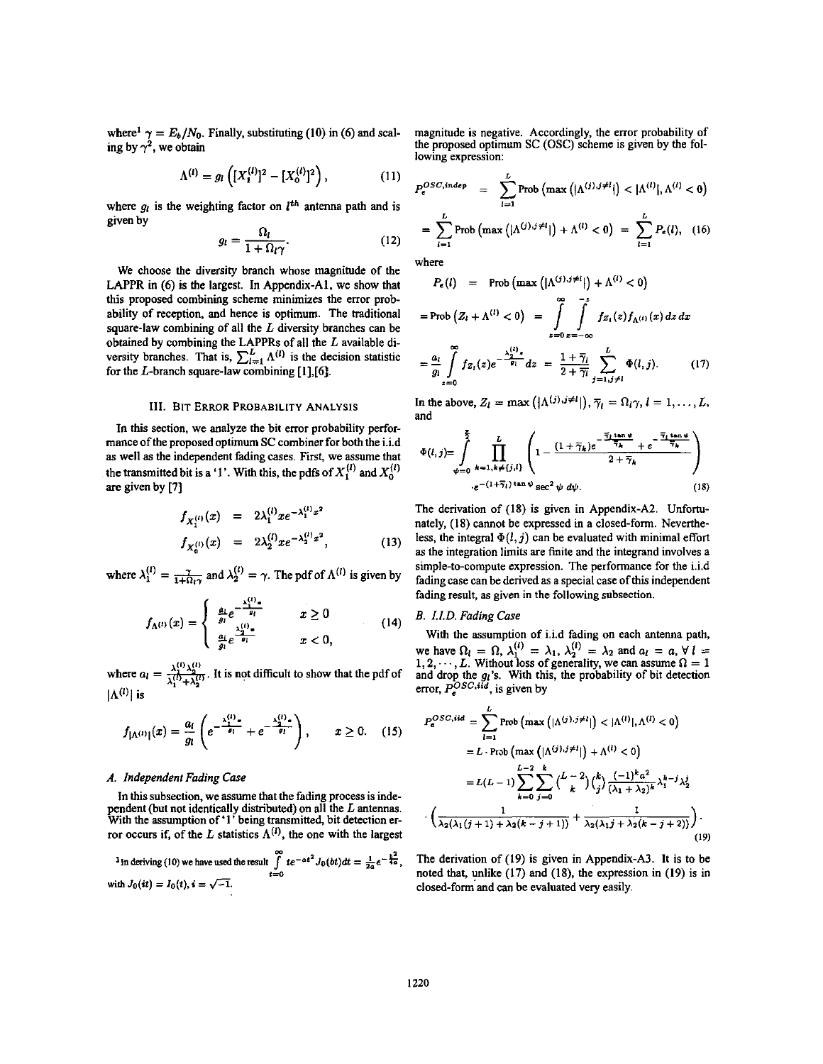where<sup>1</sup>  $\gamma = E_b/N_0$ . Finally, substituting (10) in (6) and scaling by  $\gamma^2$ , we obtain

$$
\Lambda^{(l)} = g_l \left( [X_1^{(l)}]^2 - [X_0^{(l)}]^2 \right), \tag{11}
$$

where  $g_l$  is the weighting factor on  $l^{th}$  antenna path and is given by

$$
g_l = \frac{\Omega_l}{1 + \Omega_l \gamma}.
$$
 (12)

We choose the diversity branch whose magnitude of the LAPPR in (6) is the largest. In Appendix-A1, we show that this proposed combining scheme minimizes the error probability of reception, and hence is optimum. The traditional square-law combining of all the  $L$  diversity branches can be obtained by combining the LAPPRs of all the L available diversity branches. That is,  $\sum_{l=1}^{L} \Lambda^{(l)}$  is the decision statistic for the  $L$ -branch square-law combining  $[1],[6]$ .

### **III. BIT ERROR PROBABILITY ANALYSIS**

In this section, we analyze the bit error probability performance of the proposed optimum SC combiner for both the i.i.d as well as the independent fading cases. First, we assume that the transmitted bit is a '1'. With this, the pdfs of  $X_1^{(l)}$  and  $X_0^{(l)}$ are given by [7]

$$
f_{X_1^{(l)}}(x) = 2\lambda_1^{(l)} x e^{-\lambda_1^{(l)} x^2}
$$
  
\n
$$
f_{X_0^{(l)}}(x) = 2\lambda_2^{(l)} x e^{-\lambda_2^{(l)} x^2},
$$
\n(13)

where  $\lambda_1^{(l)} = \frac{\gamma}{1 + \Omega_0 \gamma}$  and  $\lambda_2^{(l)} = \gamma$ . The pdf of  $\Lambda^{(l)}$  is given by

$$
f_{\Lambda^{(1)}}(x) = \begin{cases} \frac{a_1}{g_1} e^{-\frac{\lambda_1^{(1)}x}{g_1}} & x \ge 0\\ \frac{a_1}{g_1} e^{\frac{\lambda_2^{(1)}x}{g_1}} & x < 0, \end{cases}
$$
(14)

where  $a_i = \frac{\lambda_1^{(i)} \lambda_2^{(i)}}{\lambda_1^{(i)} + \lambda_2^{(i)}}$ . It is not difficult to show that the pdf of  $|\Lambda^{(l)}|$  is

$$
f_{\vert \Lambda^{(1)} \vert}(x) = \frac{a_i}{g_i} \left( e^{-\frac{\lambda_1^{(1)} x}{g_i}} + e^{-\frac{\lambda_2^{(1)} x}{g_i}} \right), \qquad x \ge 0. \quad (15)
$$

## A. Independent Fading Case

In this subsection, we assume that the fading process is independent (but not identically distributed) on all the  $L$  antennas.<br>With the assumption of '1' being transmitted, bit detection error occurs if, of the L statistics  $\Lambda^{(1)}$ , the one with the largest

<sup>1</sup> In deriving (10) we have used the result 
$$
\int_{t=0}^{\infty} te^{-at^2} J_0(bt) dt = \frac{1}{2a}e^{-\frac{b^2}{4a}}
$$
with  $J_0(it) = I_0(t)$ ,  $i = \sqrt{-1}$ .

magnitude is negative. Accordingly, the error probability of the proposed optimum SC (OSC) scheme is given by the following expression:

$$
P_e^{OSC, indep} = \sum_{l=1}^{L} \text{Prob} \left( \max \left( |\Lambda^{(j),j\neq l} | \right) < |\Lambda^{(l)}|, \Lambda^{(l)} < 0 \right)
$$
  
= 
$$
\sum_{l=1}^{L} \text{Prob} \left( \max \left( |\Lambda^{(j),j\neq l} | \right) + \Lambda^{(l)} < 0 \right) = \sum_{l=1}^{L} P_e(l), \quad (16)
$$

and a land

where

$$
P_e(l) = \text{Prob} \left( \max \left\{ |\Lambda^{(j)}, \mathbf{y}^{(j)}| \right\} + \Lambda^{(i)} < 0 \right)
$$
\n
$$
= \text{Prob} \left( Z_l + \Lambda^{(l)} < 0 \right) = \int_{z=0}^{\infty} \int_{z=-\infty}^{-z} f_{Z_l}(z) f_{\Lambda^{(l)}}(x) \, dz \, dx
$$
\n
$$
= \frac{a_l}{g_l} \int_{z=0}^{\infty} f_{Z_l}(z) e^{-\frac{\lambda_2^{(l)} z}{g_l}} \, dz = \frac{1 + \overline{\gamma}_l}{2 + \overline{\gamma}_l} \sum_{j=1, j \neq l}^{L} \Phi(l, j). \tag{17}
$$

In the above,  $Z_l = \max (|\Lambda^{(j)}, j \neq l|), \overline{\gamma}_l = \Omega_l \gamma, l = 1, ..., L$ , and

$$
\Phi(l,j) = \int_{\psi=0}^{\frac{\pi}{2}} \prod_{k=1, k \neq \{j,l\}}^{L} \left(1 - \frac{(1 + \overline{\gamma}_k)e^{-\frac{\overline{\gamma}_l \tan \psi}{\overline{\gamma}_k}} + e^{-\frac{\overline{\gamma}_l \tan \psi}{\overline{\gamma}_k}}}{2 + \overline{\gamma}_k}\right)
$$
  

$$
e^{-(1 + \overline{\gamma}_l) \tan \psi} \sec^2 \psi \ d\psi.
$$
 (18)

The derivation of (18) is given in Appendix-A2. Unfortunately, (18) cannot be expressed in a closed-form. Nevertheless, the integral  $\Phi(l, j)$  can be evaluated with minimal effort as the integration limits are finite and the integrand involves a simple-to-compute expression. The performance for the i.i.d fading case can be derived as a special case of this independent fading result, as given in the following subsection.

# B. I.I.D. Fading Case

With the assumption of i.i.d fading on each antenna path, while assumption of the lang of each dischange pair.<br>
we have  $\Omega_l = \Omega$ ,  $\lambda_1^{(l)} = \lambda_1$ ,  $\lambda_2^{(l)} = \lambda_2$  and  $a_l = a$ ,  $\forall l = 1, 2, \dots, L$ . Without loss of generality, we can assume  $\Omega = 1$  and drop the  $g_l$ 's. With this, the

$$
P_e^{OSC,iid} = \sum_{l=1}^{L} \text{Prob} \left( \max \left( |\Lambda^{(j),j\neq l} | \right) < |\Lambda^{(l)}|, \Lambda^{(l)} < 0 \right)
$$
  
=  $L \cdot \text{Prob} \left( \max \left( |\Lambda^{(j),j\neq l} | \right) + \Lambda^{(l)} < 0 \right)$   
=  $L(L-1) \sum_{k=0}^{L-2} \sum_{j=0}^{k} {L-2 \choose k} {k \choose j} \frac{(-1)^k \alpha^2}{(\lambda_1 + \lambda_2)^k} \lambda_1^{k-j} \lambda_2^j$   

$$
\cdot \left( \frac{1}{\lambda_2(\lambda_1(j+1) + \lambda_2(k-j+1))} + \frac{1}{\lambda_2(\lambda_1 j + \lambda_2(k-j+2))} \right).
$$
 (19)

The derivation of (19) is given in Appendix-A3. It is to be noted that, unlike  $(17)$  and  $(18)$ , the expression in  $(19)$  is in closed-form and can be evaluated very easily.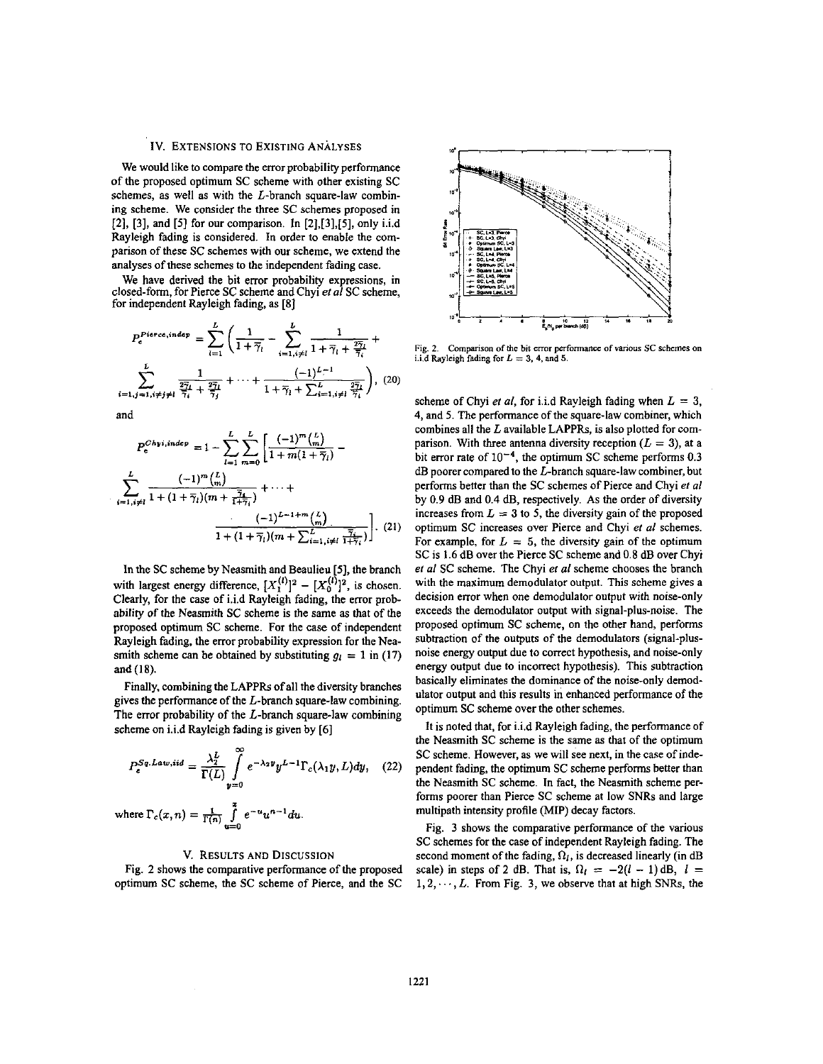## Iv. EXTENSIONS TO EXISTING ANALYSES

We would like to compare the error probability performance of the proposed optimum SC scheme with other existing SC schemes, as well as with the L-branch square-law combining scheme. We consider the three SC schemes proposed in **[2], [3],** and **[SI** for our comparison. In **[2],[3],[5],** only i.i.d Rayleigh fading is considered. In order to enable the comparison of these SC schemes with our scheme, we extend the analyses of these schemes to the independent fading case.

We have derived the bit error probability expressions, in closed-form, for Pierce SC scheme and Chyi *el ai* SC scheme, for independent Rayleigh fading, as [8]

$$
P_e^{Piece, indep} = \sum_{l=1}^{L} \left( \frac{1}{1 + \overline{\gamma}_l} - \sum_{i=1, i \neq l}^{L} \frac{1}{1 + \overline{\gamma}_l + \frac{2\overline{\gamma}_l}{\overline{\gamma}_i}} + \sum_{i=1, i \neq l}^{L} \frac{1}{1 + \overline{\gamma}_l + \frac{2\overline{\gamma}_l}{\overline{\gamma}_i}} \right)
$$
  

$$
\sum_{i=1, j=1, i \neq j \neq l}^{L} \frac{1}{\overline{\gamma}_i} - \frac{1}{\overline{\gamma}_j} + \cdots + \frac{(-1)^{L-1}}{1 + \overline{\gamma}_l + \sum_{i=1, i \neq l}^{L} \frac{2\overline{\gamma}_l}{\overline{\gamma}_i}} \right), (20)
$$

and

$$
P_e^{Chyi, indep} = 1 - \sum_{i=1}^{L} \sum_{m=0}^{L} \left[ \frac{(-1)^m \binom{L}{m}}{1 + m(1 + \overline{\gamma}_i)} - \sum_{i=1, i \neq l}^{L} \frac{(-1)^m \binom{L}{m}}{1 + (1 + \overline{\gamma}_l)(m + \frac{\overline{\gamma}_i}{1 + \overline{\gamma}_i})} + \cdots + \frac{(-1)^{L-1+m} \binom{L}{m}}{1 + (1 + \overline{\gamma}_l)(m + \sum_{i=1, i \neq l}^{L} \frac{\overline{\gamma}_i}{1 + \overline{\gamma}_i})} \right]. \tag{21}
$$

In the SC scheme by Neasmith and Beaulieu [5], the branch with largest energy difference,  $[X_1^{(l)}]^2 - [X_0^{(l)}]^2$ , is chosen. Clearly, for the case of i.i.d Rayleigh fading, the error probability of the Neasmith SC scheme is the same **as** that of the proposed optimum SC scheme. For the case of independent Rayleigh fading, the error probability expression for the Neasmith scheme can be obtained by substituting  $g_i = 1$  in (17) and(18).

Finally. combining the LAPPRs of all the diversity branches gives the performance of the L-branch square-law combining. The error probability of the L-branch square-law combining scheme on i.i.d Rayleigh fading is given by **[6]** 

$$
P_e^{Sq, Law, iid} = \frac{\lambda_2^L}{\Gamma(L)} \int_{y=0}^{\infty} e^{-\lambda_2 y} y^{L-1} \Gamma_c(\lambda_1 y, L) dy, \quad (22)
$$

where 
$$
\Gamma_c(x, n) = \frac{1}{\Gamma(n)} \int_{u=0}^{x} e^{-u} u^{n-1} du
$$
.

# v. RESULTS AND DISCUSSION

Fig. **2** shows the comparative performance of the proposed optimum SC scheme, the SC scheme of Pierce, and the SC



Fig. 2. Comparison of the bit error performance of various SC schemes on i.i.d Rayleigh fading for  $L = 3$ , 4, and 5.

scheme of Chyi *et al*, for i.i.d Rayleigh fading when  $L = 3$ , **4,** and *5.* The performance of the square-law combiner, which combines all the L available LAPPRs, is also plotted for comparison. With three antenna diversity reception  $(L = 3)$ , at a bit error rate of  $10^{-4}$ , the optimum SC scheme performs 0.3 dB poorer compared to the L-branch square-law combiner, but performs better than the SC schemes of Pierce and Chyi *el a1*  by *0.9* dB and 0.4 **dB,** respectively. As the order of diversity increases from  $L = 3$  to 5, the diversity gain of the proposed optimum SC increases over Pierce and Chyi *el ai* schemes. For example, for  $L = 5$ , the diversity gain of the optimum SC is **1.6** dB over the Pierce SC scheme and 0.8 dB over Chyi *et a1* SC scheme. The Chyi *er ai* scheme chooses the branch with the maximum demodulator output. This scheme gives a decision error when one demodulator output with noise-only exceeds the demodulator output with signal-plus-noise. The proposed optimum SC scheme, on the other hand, performs subtraction of the outputs of the demodulators (signal-plusnoise energy output due to correct hypothesis, and noise-only energy output due to incorrect hypothesis). This subtraction basically eliminates the dominance of the noise-only demodulator output and this results in enhanced performance of the optimum SC scheme over the other schemes.

It is noted that, for i.i.d Rayleigh fading, the performance of the Neasmith SC scheme is the same **as** that of the optimum SC scheme. However, as we will see next, in the case of independent fading, the optimum SC scheme performs better than the Neasmith SC scheme. In fact, the Neasmith scheme performs poorer than Pierce SC scheme **at** low *SNRs* and large multipath intensity profile (MIP) decay factors.

[Fig.](#page-4-0) 3 shows the comparative performance of the various SC schemes for the case of independent Rayleigh fading. The second moment of the fading,  $\Omega_i$ , is decreased linearly (in dB scale) in steps of 2 dB. That is,  $\Omega_l = -2(l - 1)$  dB,  $l =$  $1, 2, \dots, L$ . From Fig. 3, we observe that at high SNRs, the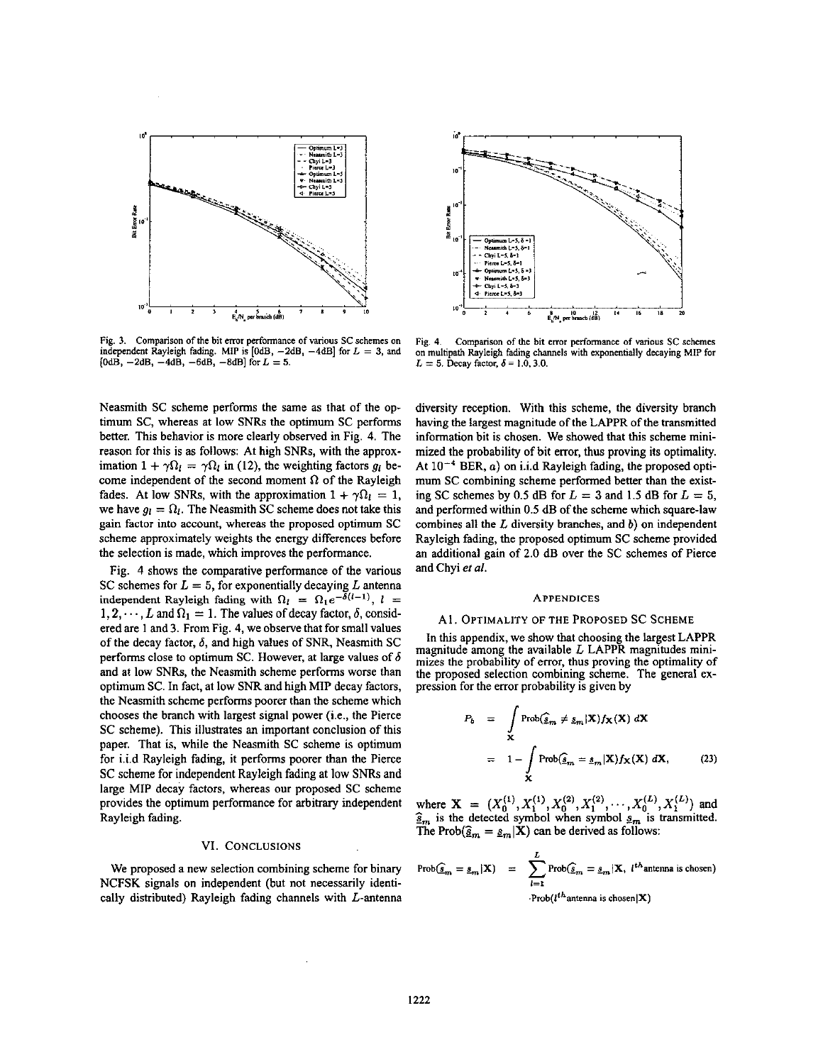<span id="page-4-0"></span>

Fig. 3. Comparison of the bit error performance of various SC schemes on independent Rayleigh fading. MIP is  $[0dB, -2dB, -4dB]$  for  $L = 3$ , and  $[0dB, -2dB, -4dB, -6dB, -8dB]$  for  $L = 5$ .

Neasmith SC scheme performs the same as that of the optimum SC, whereas at low SNRs the optimum SC performs better. This behavior is more clearly observed in Fig. **4.** The reason for this is **as** follows: At high SNRs, with the approximation  $1 + \gamma \Omega_l = \gamma \Omega_l$  in (12), the weighting factors  $g_l$  become independent of the second moment  $\Omega$  of the Rayleigh fades. At low SNRs, with the approximation  $1 + \gamma \Omega_l = 1$ , we have  $g_l = \Omega_l$ . The Neasmith SC scheme does not take this gain factor into account, whereas the proposed optimum SC scheme approximately weights the energy differences before the selection is made, which improves the performance.

Fig. **4** shows the comparative performance of the various SC schemes for  $L = 5$ , for exponentially decaying L antenna independent Rayleigh fading with  $\Omega_l = \Omega_1 e^{-\delta(l-1)}$ ,  $l =$  $1, 2, \dots, L$  and  $\Omega_1 = 1$ . The values of decay factor,  $\delta$ , considered are **1** and 3. From Fig. **4,** we observe that for small values of the decay factor, 6, and high values of SNR, Neasmith **SC**  performs close to optimum SC. However, at large values of  $\delta$ and at low SNRs, the Neasmith scheme performs worse than optimum SC. In fact, at low *SNR* and high MIP decay factors, the Neasmith scheme performs poorer than the scheme which chooses the branch with largest signal power (i.e., the Pierce SC scheme). This illustrates an important conclusion of this paper. That is, while the Neasmith SC scheme is optimum for i.i.d Rayleigh fading, it performs poorer than the Pierce SC scheme for independent Rayleigh fading at low SNRs and large MIP decay factors, whereas our proposed SC scheme provides the optimum performance for arbitrary independent Rayleigh fading.

## VI. CONCLUSIONS

We proposed a new selection combining scheme for binary NCFSK signals on independent (hut not necessarily identically distributed) Rayleigh fading channels with L-antenna



Fig. 4. Comparison of the bit error performance of various SC schemes **on multipath Rayleigh fading channels with expanentially decaying** MIP **for**   $L= 5$ . Decay factor,  $\delta = 1.0$ , 3.0.

diversity reception. With this scheme, the diversity branch having the largest magnitude of the LAPPR of the transmitted information bit is chosen. We showed that this scheme minimized the probability of bit error, thus proving its optimality. At  $10^{-4}$  BER, *a*) on i.i.d Rayleigh fading, the proposed optimum SC combining scheme performed better than the existing SC schemes by 0.5 dB for  $L = 3$  and 1.5 dB for  $L = 5$ , and performed within 0.5 dB of the scheme which square-law combines all the *L* diversity branches, and b) on independent Rayleigh fading, the proposed optimum SC scheme provided an additional gain of 2.0 dB over the SC schemes of Pierce and Chyi *er* al.

#### **APPENDICES**

### <sup>A</sup>**I,** OPTIMALITY OF THE PROPOSED sc SCHEME

In this appendix, we show that choosing the largest LAPPR magnitude among the available *L* LAPPR magnitudes minimizes the probability of error, thus proving the optimality of the proposed selection combining scheme. The general expression for the error probability is given by

$$
P_b = \int_{\mathbf{X}} \text{Prob}(\hat{\mathbf{g}}_m \neq \mathbf{g}_m | \mathbf{X}) f_{\mathbf{X}}(\mathbf{X}) d\mathbf{X}
$$
  
=  $1 - \int_{\mathbf{X}} \text{Prob}(\hat{\mathbf{g}}_m = \mathbf{g}_m | \mathbf{X}) f_{\mathbf{X}}(\mathbf{X}) d\mathbf{X},$  (23)

where  $X = (X_0^{(1)}, X_1^{(1)}, X_0^{(2)}, X_1^{(2)}, \cdots, X_0^{(L)}, X_1^{(L)})$  and  $\frac{\delta_m}{\delta_m}$  is the detected symbol when symbol  $s_m$  is transmitted. The Prob( $\hat{\mathbf{g}}_m = \underline{s}_m|\mathbf{X}$ ) can be derived as follows:

$$
\text{Prob}(\widehat{s}_{m} = s_{m} | \mathbf{X}) = \sum_{l=1}^{L} \text{Prob}(\widehat{s}_{m} = s_{m} | \mathbf{X}, l^{th} \text{antenna is chosen})
$$
  
 
$$
\cdot \text{Prob}(l^{th} \text{antenna is chosen} | \mathbf{X})
$$